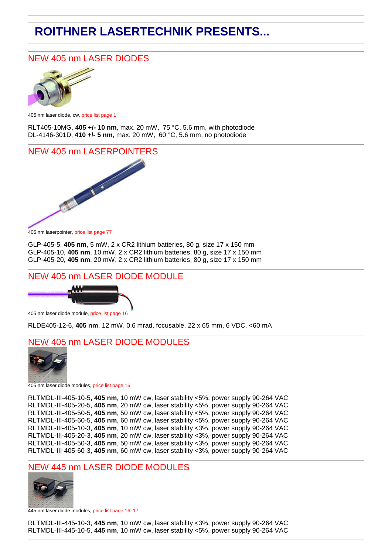# **ROITHNER LASERTECHNIK PRESENTS...**

## NEW 405 nm LASER DIODES



405 nm laser diode, cw, price list page 1

RLT405-10MG, **405 +/- 10 nm**, max. 20 mW, 75 °C, 5.6 mm, with photodiode DL-4146-301D, **410 +/- 5 nm**, max. 20 mW, 60 °C, 5.6 mm, no photodiode

#### NEW 405 nm LASERPOINTERS



405 nm laserpointer, price list page 77

GLP-405-5, **405 nm**, 5 mW, 2 x CR2 lithium batteries, 80 g, size 17 x 150 mm GLP-405-10, **405 nm**, 10 mW, 2 x CR2 lithium batteries, 80 g, size 17 x 150 mm GLP-405-20, **405 nm**, 20 mW, 2 x CR2 lithium batteries, 80 g, size 17 x 150 mm

#### NEW 405 nm LASER DIODE MODULE



405 nm laser diode module, price list page 16

RLDE405-12-6, **405 nm**, 12 mW, 0.6 mrad, focusable, 22 x 65 mm, 6 VDC, <60 mA

#### NEW 405 nm LASER DIODE MODULES



405 nm laser diode modules, price list page 16

RLTMDL-III-405-10-5, **405 nm**, 10 mW cw, laser stability <5%, power supply 90-264 VAC RLTMDL-III-405-20-5, **405 nm**, 20 mW cw, laser stability <5%, power supply 90-264 VAC RLTMDL-III-405-50-5, **405 nm**, 50 mW cw, laser stability <5%, power supply 90-264 VAC RLTMDL-III-405-60-5, **405 nm**, 60 mW cw, laser stability <5%, power supply 90-264 VAC RLTMDL-III-405-10-3, **405 nm**, 10 mW cw, laser stability <3%, power supply 90-264 VAC RLTMDL-III-405-20-3, **405 nm**, 20 mW cw, laser stability <3%, power supply 90-264 VAC RLTMDL-III-405-50-3, **405 nm**, 50 mW cw, laser stability <3%, power supply 90-264 VAC RLTMDL-III-405-60-3, **405 nm**, 60 mW cw, laser stability <3%, power supply 90-264 VAC

#### **NEW 445 nm LASER DIODE MODULES**



445 nm laser diode modules, price list page 16, 17

RLTMDL-III-445-10-3, **445 nm**, 10 mW cw, laser stability <3%, power supply 90-264 VAC RLTMDL-III-445-10-5, **445 nm**, 10 mW cw, laser stability <5%, power supply 90-264 VAC